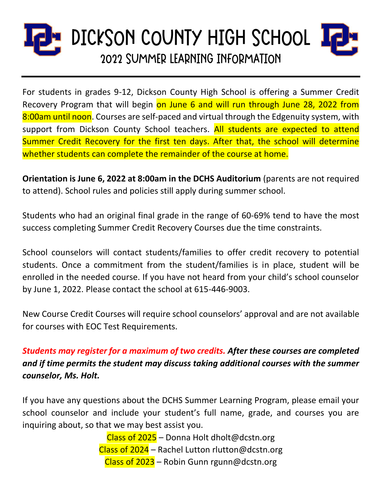## **Dickson County HIGH SCHOOL D** 2022 Summer Learning Information

For students in grades 9-12, Dickson County High School is offering a Summer Credit Recovery Program that will begin on June 6 and will run through June 28, 2022 from 8:00am until noon. Courses are self-paced and virtual through the Edgenuity system, with support from Dickson County School teachers. All students are expected to attend Summer Credit Recovery for the first ten days. After that, the school will determine whether students can complete the remainder of the course at home.

**Orientation is June 6, 2022 at 8:00am in the DCHS Auditorium** (parents are not required to attend). School rules and policies still apply during summer school.

Students who had an original final grade in the range of 60-69% tend to have the most success completing Summer Credit Recovery Courses due the time constraints.

School counselors will contact students/families to offer credit recovery to potential students. Once a commitment from the student/families is in place, student will be enrolled in the needed course. If you have not heard from your child's school counselor by June 1, 2022. Please contact the school at 615-446-9003.

New Course Credit Courses will require school counselors' approval and are not available for courses with EOC Test Requirements.

## *Students may register for a maximum of two credits. After these courses are completed and if time permits the student may discuss taking additional courses with the summer counselor, Ms. Holt.*

If you have any questions about the DCHS Summer Learning Program, please email your school counselor and include your student's full name, grade, and courses you are inquiring about, so that we may best assist you.

> Class of 2025 - Donna Holt dholt@dcstn.org Class of 2024 – Rachel Lutton rlutton@dcstn.org Class of 2023 - Robin Gunn rgunn@dcstn.org